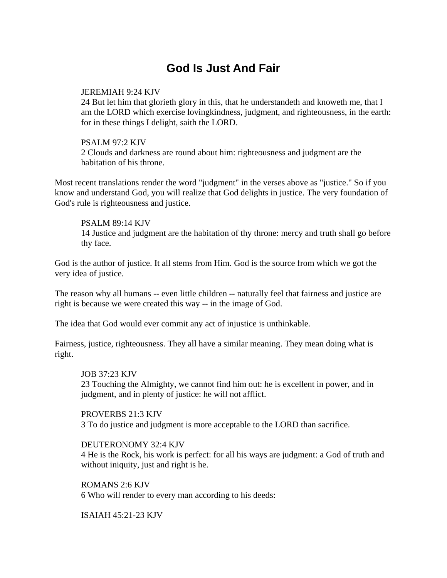# **God Is Just And Fair**

## JEREMIAH 9:24 KJV

24 But let him that glorieth glory in this, that he understandeth and knoweth me, that I am the LORD which exercise lovingkindness, judgment, and righteousness, in the earth: for in these things I delight, saith the LORD.

## PSALM 97:2 KJV

2 Clouds and darkness are round about him: righteousness and judgment are the habitation of his throne.

Most recent translations render the word "judgment" in the verses above as "justice." So if you know and understand God, you will realize that God delights in justice. The very foundation of God's rule is righteousness and justice.

## PSALM 89:14 KJV

14 Justice and judgment are the habitation of thy throne: mercy and truth shall go before thy face.

God is the author of justice. It all stems from Him. God is the source from which we got the very idea of justice.

The reason why all humans -- even little children -- naturally feel that fairness and justice are right is because we were created this way -- in the image of God.

The idea that God would ever commit any act of injustice is unthinkable.

Fairness, justice, righteousness. They all have a similar meaning. They mean doing what is right.

#### JOB 37:23 KJV

23 Touching the Almighty, we cannot find him out: he is excellent in power, and in judgment, and in plenty of justice: he will not afflict.

PROVERBS 21:3 KJV 3 To do justice and judgment is more acceptable to the LORD than sacrifice.

#### DEUTERONOMY 32:4 KJV

4 He is the Rock, his work is perfect: for all his ways are judgment: a God of truth and without iniquity, just and right is he.

ROMANS 2:6 KJV 6 Who will render to every man according to his deeds:

ISAIAH 45:21-23 KJV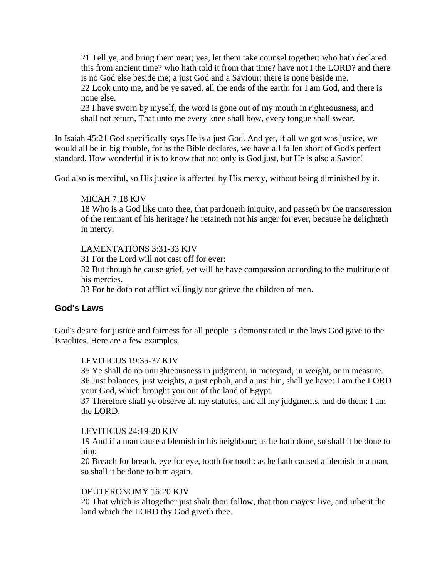21 Tell ye, and bring them near; yea, let them take counsel together: who hath declared this from ancient time? who hath told it from that time? have not I the LORD? and there is no God else beside me; a just God and a Saviour; there is none beside me. 22 Look unto me, and be ye saved, all the ends of the earth: for I am God, and there is none else.

23 I have sworn by myself, the word is gone out of my mouth in righteousness, and shall not return, That unto me every knee shall bow, every tongue shall swear.

In Isaiah 45:21 God specifically says He is a just God. And yet, if all we got was justice, we would all be in big trouble, for as the Bible declares, we have all fallen short of God's perfect standard. How wonderful it is to know that not only is God just, but He is also a Savior!

God also is merciful, so His justice is affected by His mercy, without being diminished by it.

## MICAH 7:18 KJV

18 Who is a God like unto thee, that pardoneth iniquity, and passeth by the transgression of the remnant of his heritage? he retaineth not his anger for ever, because he delighteth in mercy.

LAMENTATIONS 3:31-33 KJV

31 For the Lord will not cast off for ever:

32 But though he cause grief, yet will he have compassion according to the multitude of his mercies.

33 For he doth not afflict willingly nor grieve the children of men.

## **God's Laws**

God's desire for justice and fairness for all people is demonstrated in the laws God gave to the Israelites. Here are a few examples.

## LEVITICUS 19:35-37 KJV

35 Ye shall do no unrighteousness in judgment, in meteyard, in weight, or in measure. 36 Just balances, just weights, a just ephah, and a just hin, shall ye have: I am the LORD your God, which brought you out of the land of Egypt.

37 Therefore shall ye observe all my statutes, and all my judgments, and do them: I am the LORD.

## LEVITICUS 24:19-20 KJV

19 And if a man cause a blemish in his neighbour; as he hath done, so shall it be done to him;

20 Breach for breach, eye for eye, tooth for tooth: as he hath caused a blemish in a man, so shall it be done to him again.

## DEUTERONOMY 16:20 KJV

20 That which is altogether just shalt thou follow, that thou mayest live, and inherit the land which the LORD thy God giveth thee.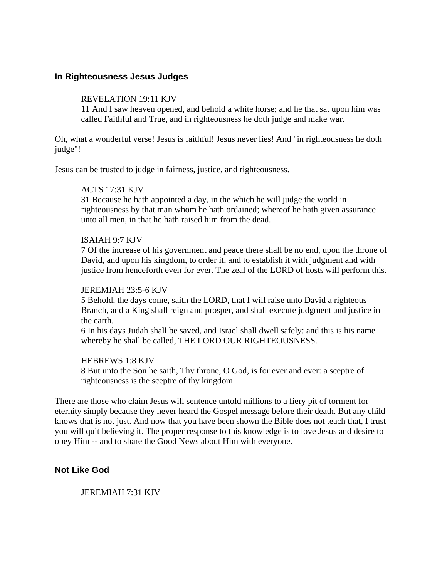## **In Righteousness Jesus Judges**

#### REVELATION 19:11 KJV

11 And I saw heaven opened, and behold a white horse; and he that sat upon him was called Faithful and True, and in righteousness he doth judge and make war.

Oh, what a wonderful verse! Jesus is faithful! Jesus never lies! And "in righteousness he doth judge"!

Jesus can be trusted to judge in fairness, justice, and righteousness.

## ACTS 17:31 KJV

31 Because he hath appointed a day, in the which he will judge the world in righteousness by that man whom he hath ordained; whereof he hath given assurance unto all men, in that he hath raised him from the dead.

#### ISAIAH 9:7 KJV

7 Of the increase of his government and peace there shall be no end, upon the throne of David, and upon his kingdom, to order it, and to establish it with judgment and with justice from henceforth even for ever. The zeal of the LORD of hosts will perform this.

#### JEREMIAH 23:5-6 KJV

5 Behold, the days come, saith the LORD, that I will raise unto David a righteous Branch, and a King shall reign and prosper, and shall execute judgment and justice in the earth.

6 In his days Judah shall be saved, and Israel shall dwell safely: and this is his name whereby he shall be called, THE LORD OUR RIGHTEOUSNESS.

#### HEBREWS 1:8 KJV

8 But unto the Son he saith, Thy throne, O God, is for ever and ever: a sceptre of righteousness is the sceptre of thy kingdom.

There are those who claim Jesus will sentence untold millions to a fiery pit of torment for eternity simply because they never heard the Gospel message before their death. But any child knows that is not just. And now that you have been shown the Bible does not teach that, I trust you will quit believing it. The proper response to this knowledge is to love Jesus and desire to obey Him -- and to share the Good News about Him with everyone.

# **Not Like God**

JEREMIAH 7:31 KJV